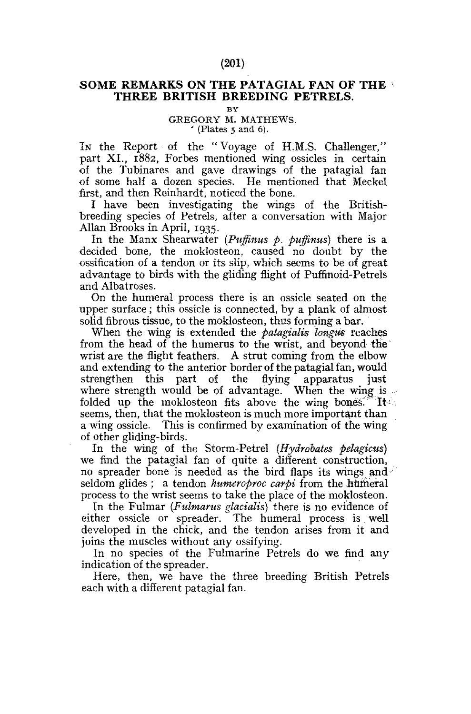## SOME REMARKS ON THE PATAGIAL FAN OF THE THREE BRITISH BREEDING PETRELS.

**BY** 

## GREGORY M. MATHEWS.  $'$  (Plates 5 and 6).

In the Report of the "Voyage of H.M.S. Challenger," part XI., 1882, Forbes mentioned wing ossicles in certain of the Tubinares and gave drawings of the patagial fan of some half a dozen species. He mentioned that Meckel first, and then Reinhardt, noticed the bone.

I have been investigating the wings of the Britishbreeding species of Petrels, after a conversation with Major Allan Brooks in April, 1935.

In the Manx Shearwater *(Puffinus p. puffinus)* there is a decided bone, the moklosteon, caused no doubt by the ossification of a tendon or its slip, which seems to be of great advantage to birds with the gliding flight of Puffinoid-Petrels and Albatroses.

On the humeral process there is an ossicle seated on the upper surface; this ossicle is connected, by a plank of almost solid fibrous tissue, to the moklosteon, thus forming a bar.

When the wing is extended the *patagialis longus* reaches from the head of the humerus to the wrist, and beyond the wrist are the flight feathers. A strut coming from the elbow and extending to the anterior border of the patagial fan, would strengthen this part of the flying apparatus just where strength would be of advantage. When the wing is folded up the moklosteon fits above the wing bones.<sup>"</sup> It seems, then, that the moklosteon is much more important than a wing ossicle. This is confirmed by examination of the wing of other gliding-birds.

In the wing of the Storm-Petrel *(Hydrobates pelagicus)*  we find the patagial fan of quite a different construction, no spreader bone is needed as the bird flaps its wings and seldom glides ; a tendon *humeroproc carpi* from the humeral process to the wrist seems to take the place of the moklosteon.

In the Fulmar *(Fulmarus glacialis)* there is no evidence of either ossicle or spreader. The humeral process is well developed in the chick, and the tendon arises from it and joins the muscles without any ossifying.

In no species of the Fulmarine Petrels do we find any indication of the spreader.

Here, then, we have the three breeding British Petrels each with a different patagial fan.

## (201)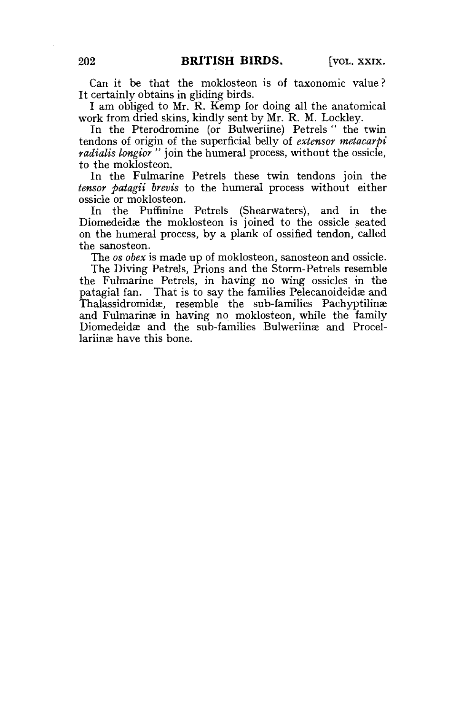Can it be that the moklosteon is of taxonomic value ? It certainly obtains in gliding birds.

I am obliged to Mr. R. Kemp for doing all the anatomical work from dried skins, kindly sent by Mr. R. M. Lockley.

In the Pterodromine (or Bulweriine) Petrels " the twin tendons of origin of the superficial belly of *extensor metacarpi radialis longior "* join the humeral process, without the ossicle, to the moklosteon.

In the Fulmarine Petrels these twin tendons join the *tensor patagii brevis* to the humeral process without either ossicle or moklosteon.

In the Puffmine Petrels (Shearwaters), and in the Diomedeidae the moklosteon is joined to the ossicle seated on the humeral process, by a plank of ossified tendon, called the sanosteon.

The *os obex* is made up of moklosteon, sanosteon and ossicle.

The Diving Petrels, Prions and the Storm-Petrels resemble the Fulmarine Petrels, in having no wing ossicles in the patagial fan. That is to say the families Pelecanoideidæ and Thalassidromidas, resemble the sub-families Pachyptilinae and Fulmarinae in having no moklosteon, while the family Diomedeidae and the sub-families Bulweriinae and Procellariing have this bone.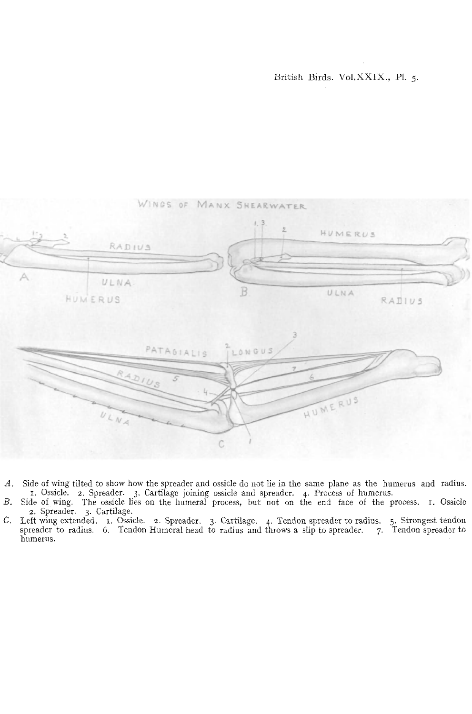

- *A.* Side of wing tilted to show how the spreader and ossicle do not lie in the same plane as the humerus and radius. 1. Ossicle. 2. Spreader. 3. Cartilage joining ossicle and spreader. 4. Process of humerus.
- *B.* Side of wing. The ossicle lies on the humeral process, but not on the end face of the process. 1. Ossicle
- 2. Spreader. 3. Cartilage.<br>C. Left wing extended. 1. Ossicle. 2. Spreader. 3. Cartilage. 4. Tendon spreader to radius. 5. Strongest tendon<br>spreader to radius. 6. Tendon Humeral head to radius and throws a slip to spreader. humerus.